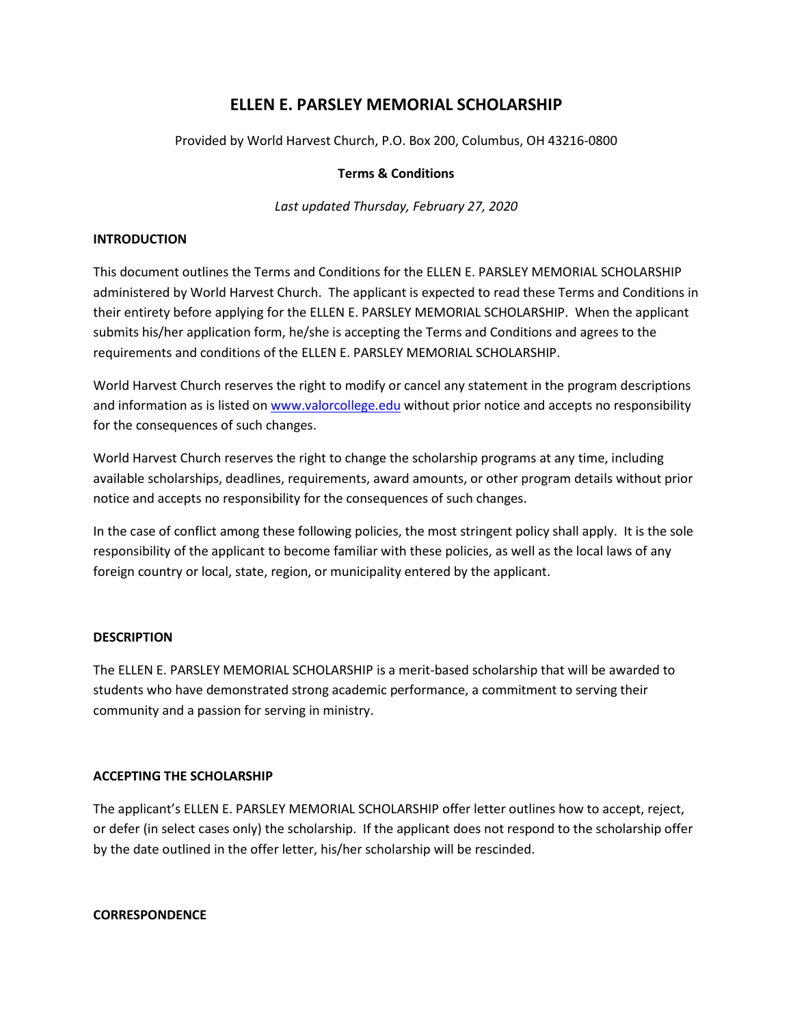# **ELLEN E. PARSLEY MEMORIAL SCHOLARSHIP**

Provided by World Harvest Church, P.O. Box 200, Columbus, OH 43216-0800

# **Terms & Conditions**

*Last updated Thursday, February 27, 2020*

# **INTRODUCTION**

This document outlines the Terms and Conditions for the ELLEN E. PARSLEY MEMORIAL SCHOLARSHIP administered by World Harvest Church. The applicant is expected to read these Terms and Conditions in their entirety before applying for the ELLEN E. PARSLEY MEMORIAL SCHOLARSHIP. When the applicant submits his/her application form, he/she is accepting the Terms and Conditions and agrees to the requirements and conditions of the ELLEN E. PARSLEY MEMORIAL SCHOLARSHIP.

World Harvest Church reserves the right to modify or cancel any statement in the program descriptions and information as is listed on [www.valorcollege.edu](http://www.valorcollege.edu/) without prior notice and accepts no responsibility for the consequences of such changes.

World Harvest Church reserves the right to change the scholarship programs at any time, including available scholarships, deadlines, requirements, award amounts, or other program details without prior notice and accepts no responsibility for the consequences of such changes.

In the case of conflict among these following policies, the most stringent policy shall apply. It is the sole responsibility of the applicant to become familiar with these policies, as well as the local laws of any foreign country or local, state, region, or municipality entered by the applicant.

# **DESCRIPTION**

The ELLEN E. PARSLEY MEMORIAL SCHOLARSHIP is a merit-based scholarship that will be awarded to students who have demonstrated strong academic performance, a commitment to serving their community and a passion for serving in ministry.

# **ACCEPTING THE SCHOLARSHIP**

The applicant's ELLEN E. PARSLEY MEMORIAL SCHOLARSHIP offer letter outlines how to accept, reject, or defer (in select cases only) the scholarship. If the applicant does not respond to the scholarship offer by the date outlined in the offer letter, his/her scholarship will be rescinded.

#### **CORRESPONDENCE**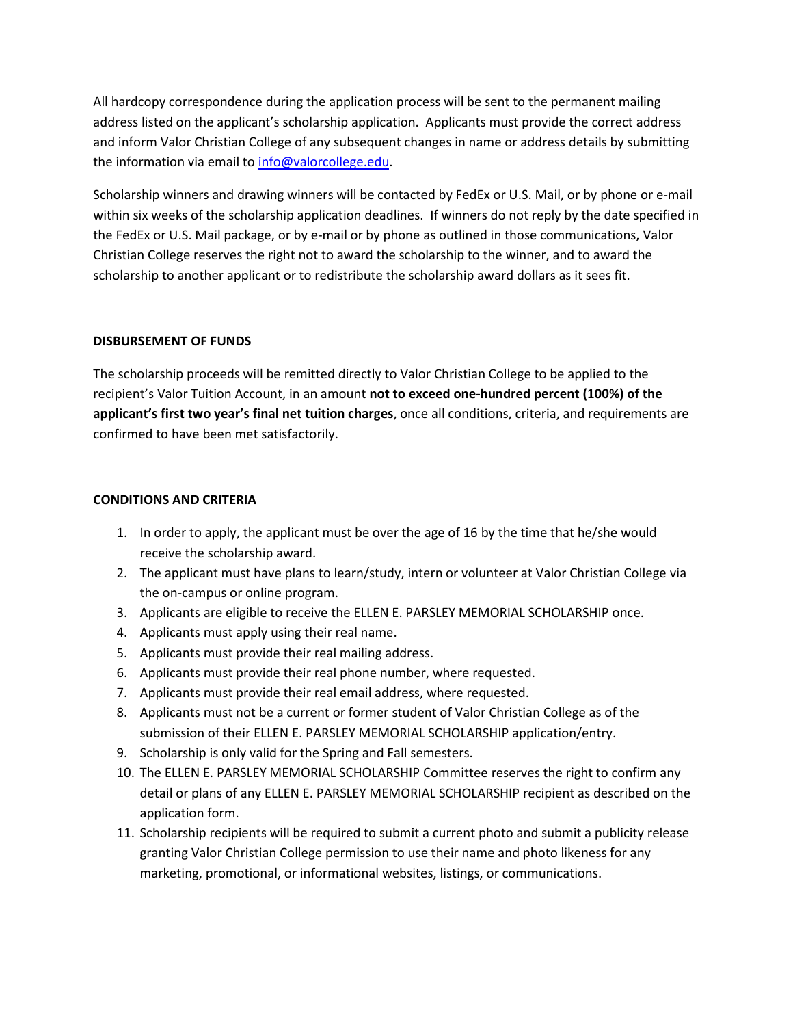All hardcopy correspondence during the application process will be sent to the permanent mailing address listed on the applicant's scholarship application. Applicants must provide the correct address and inform Valor Christian College of any subsequent changes in name or address details by submitting the information via email to [info@valorcollege.edu.](mailto:info@valorcollege.edu)

Scholarship winners and drawing winners will be contacted by FedEx or U.S. Mail, or by phone or e-mail within six weeks of the scholarship application deadlines. If winners do not reply by the date specified in the FedEx or U.S. Mail package, or by e-mail or by phone as outlined in those communications, Valor Christian College reserves the right not to award the scholarship to the winner, and to award the scholarship to another applicant or to redistribute the scholarship award dollars as it sees fit.

# **DISBURSEMENT OF FUNDS**

The scholarship proceeds will be remitted directly to Valor Christian College to be applied to the recipient's Valor Tuition Account, in an amount **not to exceed one-hundred percent (100%) of the applicant's first two year's final net tuition charges**, once all conditions, criteria, and requirements are confirmed to have been met satisfactorily.

#### **CONDITIONS AND CRITERIA**

- 1. In order to apply, the applicant must be over the age of 16 by the time that he/she would receive the scholarship award.
- 2. The applicant must have plans to learn/study, intern or volunteer at Valor Christian College via the on-campus or online program.
- 3. Applicants are eligible to receive the ELLEN E. PARSLEY MEMORIAL SCHOLARSHIP once.
- 4. Applicants must apply using their real name.
- 5. Applicants must provide their real mailing address.
- 6. Applicants must provide their real phone number, where requested.
- 7. Applicants must provide their real email address, where requested.
- 8. Applicants must not be a current or former student of Valor Christian College as of the submission of their ELLEN E. PARSLEY MEMORIAL SCHOLARSHIP application/entry.
- 9. Scholarship is only valid for the Spring and Fall semesters.
- 10. The ELLEN E. PARSLEY MEMORIAL SCHOLARSHIP Committee reserves the right to confirm any detail or plans of any ELLEN E. PARSLEY MEMORIAL SCHOLARSHIP recipient as described on the application form.
- 11. Scholarship recipients will be required to submit a current photo and submit a publicity release granting Valor Christian College permission to use their name and photo likeness for any marketing, promotional, or informational websites, listings, or communications.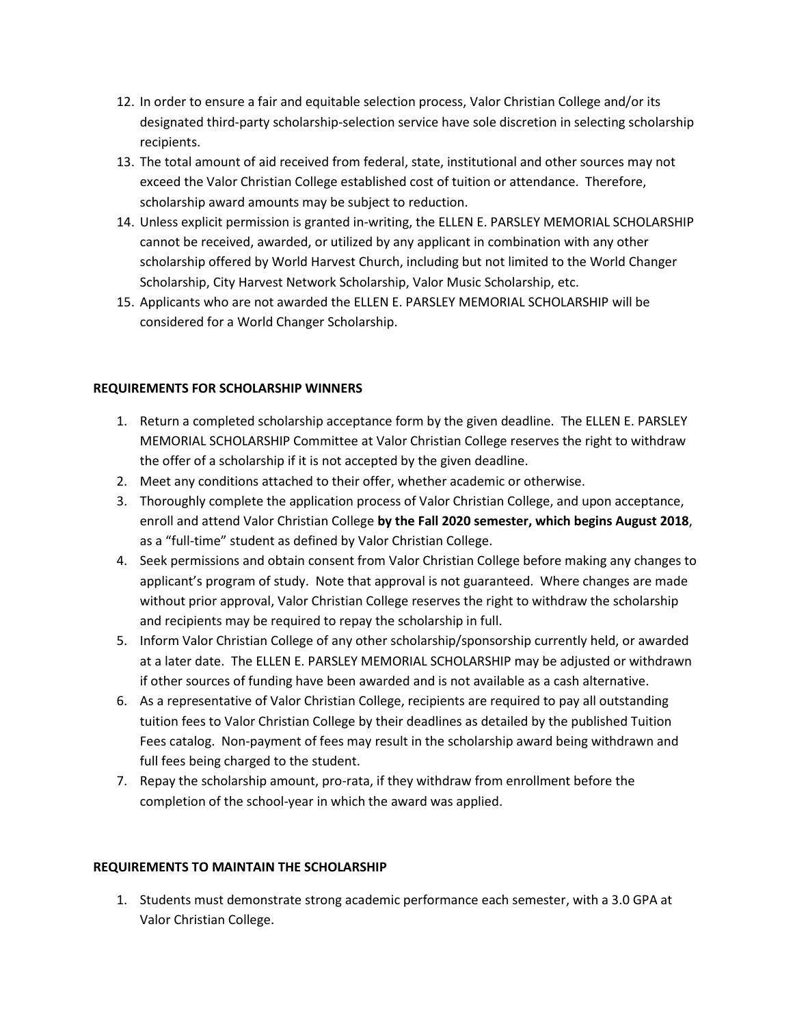- 12. In order to ensure a fair and equitable selection process, Valor Christian College and/or its designated third-party scholarship-selection service have sole discretion in selecting scholarship recipients.
- 13. The total amount of aid received from federal, state, institutional and other sources may not exceed the Valor Christian College established cost of tuition or attendance. Therefore, scholarship award amounts may be subject to reduction.
- 14. Unless explicit permission is granted in-writing, the ELLEN E. PARSLEY MEMORIAL SCHOLARSHIP cannot be received, awarded, or utilized by any applicant in combination with any other scholarship offered by World Harvest Church, including but not limited to the World Changer Scholarship, City Harvest Network Scholarship, Valor Music Scholarship, etc.
- 15. Applicants who are not awarded the ELLEN E. PARSLEY MEMORIAL SCHOLARSHIP will be considered for a World Changer Scholarship.

# **REQUIREMENTS FOR SCHOLARSHIP WINNERS**

- 1. Return a completed scholarship acceptance form by the given deadline. The ELLEN E. PARSLEY MEMORIAL SCHOLARSHIP Committee at Valor Christian College reserves the right to withdraw the offer of a scholarship if it is not accepted by the given deadline.
- 2. Meet any conditions attached to their offer, whether academic or otherwise.
- 3. Thoroughly complete the application process of Valor Christian College, and upon acceptance, enroll and attend Valor Christian College **by the Fall 2020 semester, which begins August 2018**, as a "full-time" student as defined by Valor Christian College.
- 4. Seek permissions and obtain consent from Valor Christian College before making any changes to applicant's program of study. Note that approval is not guaranteed. Where changes are made without prior approval, Valor Christian College reserves the right to withdraw the scholarship and recipients may be required to repay the scholarship in full.
- 5. Inform Valor Christian College of any other scholarship/sponsorship currently held, or awarded at a later date. The ELLEN E. PARSLEY MEMORIAL SCHOLARSHIP may be adjusted or withdrawn if other sources of funding have been awarded and is not available as a cash alternative.
- 6. As a representative of Valor Christian College, recipients are required to pay all outstanding tuition fees to Valor Christian College by their deadlines as detailed by the published Tuition Fees catalog. Non-payment of fees may result in the scholarship award being withdrawn and full fees being charged to the student.
- 7. Repay the scholarship amount, pro-rata, if they withdraw from enrollment before the completion of the school-year in which the award was applied.

# **REQUIREMENTS TO MAINTAIN THE SCHOLARSHIP**

1. Students must demonstrate strong academic performance each semester, with a 3.0 GPA at Valor Christian College.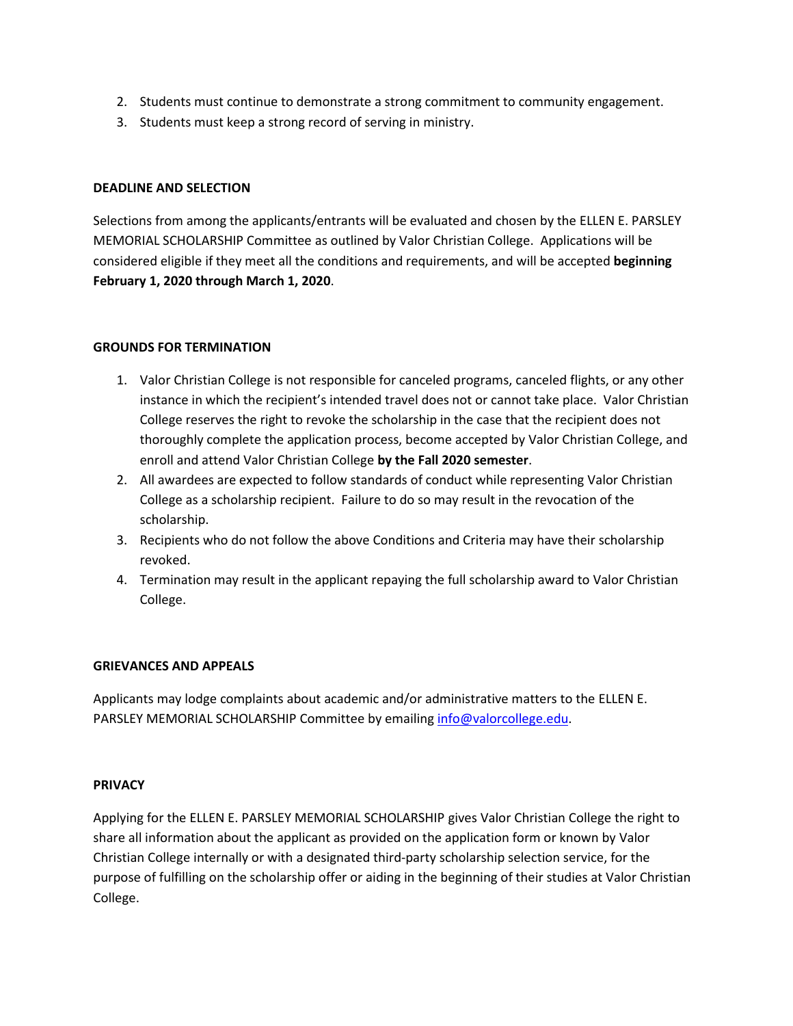- 2. Students must continue to demonstrate a strong commitment to community engagement.
- 3. Students must keep a strong record of serving in ministry.

# **DEADLINE AND SELECTION**

Selections from among the applicants/entrants will be evaluated and chosen by the ELLEN E. PARSLEY MEMORIAL SCHOLARSHIP Committee as outlined by Valor Christian College. Applications will be considered eligible if they meet all the conditions and requirements, and will be accepted **beginning February 1, 2020 through March 1, 2020**.

# **GROUNDS FOR TERMINATION**

- 1. Valor Christian College is not responsible for canceled programs, canceled flights, or any other instance in which the recipient's intended travel does not or cannot take place. Valor Christian College reserves the right to revoke the scholarship in the case that the recipient does not thoroughly complete the application process, become accepted by Valor Christian College, and enroll and attend Valor Christian College **by the Fall 2020 semester**.
- 2. All awardees are expected to follow standards of conduct while representing Valor Christian College as a scholarship recipient. Failure to do so may result in the revocation of the scholarship.
- 3. Recipients who do not follow the above Conditions and Criteria may have their scholarship revoked.
- 4. Termination may result in the applicant repaying the full scholarship award to Valor Christian College.

# **GRIEVANCES AND APPEALS**

Applicants may lodge complaints about academic and/or administrative matters to the ELLEN E. PARSLEY MEMORIAL SCHOLARSHIP Committee by emailing [info@valorcollege.edu.](mailto:info@valorcollege.edu)

# **PRIVACY**

Applying for the ELLEN E. PARSLEY MEMORIAL SCHOLARSHIP gives Valor Christian College the right to share all information about the applicant as provided on the application form or known by Valor Christian College internally or with a designated third-party scholarship selection service, for the purpose of fulfilling on the scholarship offer or aiding in the beginning of their studies at Valor Christian College.